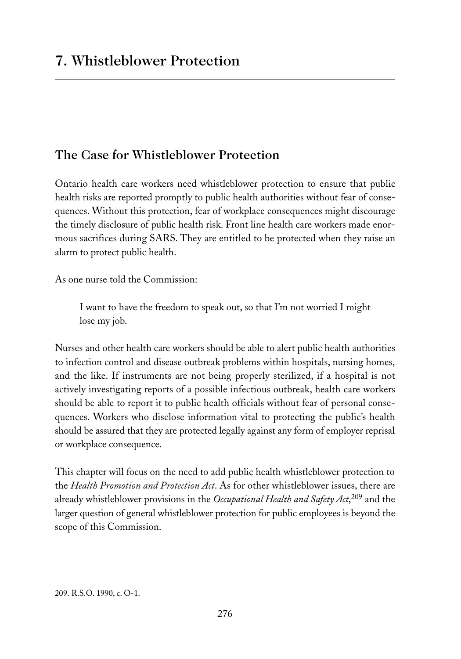# The Case for Whistleblower Protection

Ontario health care workers need whistleblower protection to ensure that public health risks are reported promptly to public health authorities without fear of consequences. Without this protection, fear of workplace consequences might discourage the timely disclosure of public health risk. Front line health care workers made enormous sacrifices during SARS. They are entitled to be protected when they raise an alarm to protect public health.

As one nurse told the Commission:

I want to have the freedom to speak out, so that I'm not worried I might lose my job.

Nurses and other health care workers should be able to alert public health authorities to infection control and disease outbreak problems within hospitals, nursing homes, and the like. If instruments are not being properly sterilized, if a hospital is not actively investigating reports of a possible infectious outbreak, health care workers should be able to report it to public health officials without fear of personal consequences. Workers who disclose information vital to protecting the public's health should be assured that they are protected legally against any form of employer reprisal or workplace consequence.

This chapter will focus on the need to add public health whistleblower protection to the *Health Promotion and Protection Act*. As for other whistleblower issues, there are already whistleblower provisions in the *Occupational Health and Safety Act*, <sup>209</sup> and the larger question of general whistleblower protection for public employees is beyond the scope of this Commission.

<sup>209.</sup> R.S.O. 1990, c. O-1.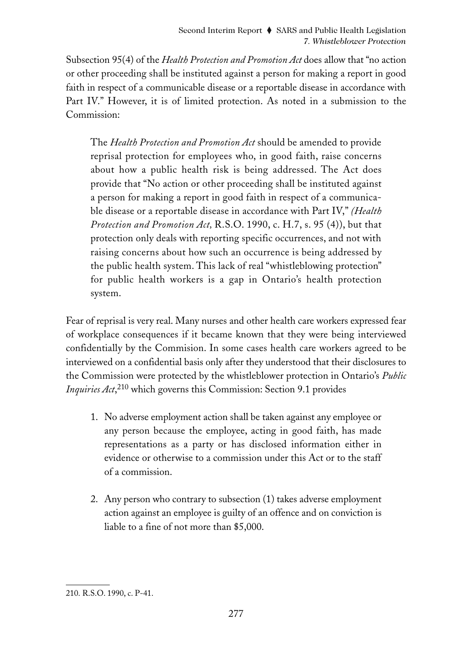Subsection 95(4) of the *Health Protection and Promotion Act* does allow that "no action or other proceeding shall be instituted against a person for making a report in good faith in respect of a communicable disease or a reportable disease in accordance with Part IV." However, it is of limited protection. As noted in a submission to the Commission:

The *Health Protection and Promotion Act* should be amended to provide reprisal protection for employees who, in good faith, raise concerns about how a public health risk is being addressed. The Act does provide that "No action or other proceeding shall be instituted against a person for making a report in good faith in respect of a communicable disease or a reportable disease in accordance with Part IV," *(Health Protection and Promotion Act,* R.S.O. 1990, c. H.7, s. 95 (4)), but that protection only deals with reporting specific occurrences, and not with raising concerns about how such an occurrence is being addressed by the public health system. This lack of real "whistleblowing protection" for public health workers is a gap in Ontario's health protection system.

Fear of reprisal is very real. Many nurses and other health care workers expressed fear of workplace consequences if it became known that they were being interviewed confidentially by the Commision. In some cases health care workers agreed to be interviewed on a confidential basis only after they understood that their disclosures to the Commission were protected by the whistleblower protection in Ontario's *Public Inquiries Act*, <sup>210</sup> which governs this Commission: Section 9.1 provides

- 1. No adverse employment action shall be taken against any employee or any person because the employee, acting in good faith, has made representations as a party or has disclosed information either in evidence or otherwise to a commission under this Act or to the staff of a commission.
- 2. Any person who contrary to subsection (1) takes adverse employment action against an employee is guilty of an offence and on conviction is liable to a fine of not more than \$5,000.

<sup>210.</sup> R.S.O. 1990, c. P-41.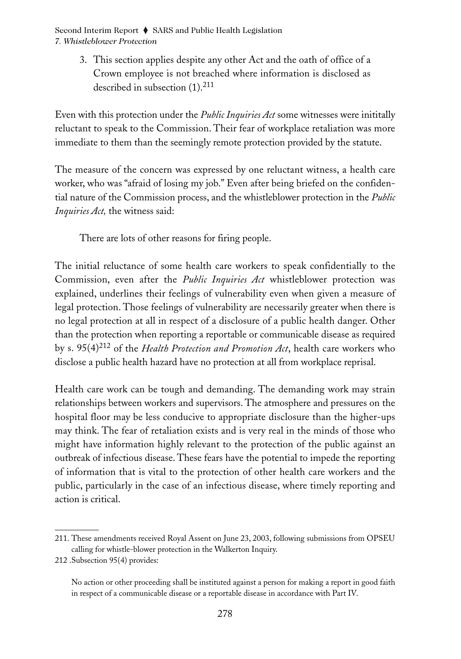> 3. This section applies despite any other Act and the oath of office of a Crown employee is not breached where information is disclosed as described in subsection (1).<sup>211</sup>

Even with this protection under the *Public Inquiries Act* some witnesses were inititally reluctant to speak to the Commission. Their fear of workplace retaliation was more immediate to them than the seemingly remote protection provided by the statute.

The measure of the concern was expressed by one reluctant witness, a health care worker, who was "afraid of losing my job." Even after being briefed on the confidential nature of the Commission process, and the whistleblower protection in the *Public Inquiries Act,* the witness said:

There are lots of other reasons for firing people.

The initial reluctance of some health care workers to speak confidentially to the Commission, even after the *Public Inquiries Act* whistleblower protection was explained, underlines their feelings of vulnerability even when given a measure of legal protection. Those feelings of vulnerability are necessarily greater when there is no legal protection at all in respect of a disclosure of a public health danger. Other than the protection when reporting a reportable or communicable disease as required by s. 95(4)<sup>212</sup> of the *Health Protection and Promotion Act*, health care workers who disclose a public health hazard have no protection at all from workplace reprisal.

Health care work can be tough and demanding. The demanding work may strain relationships between workers and supervisors. The atmosphere and pressures on the hospital floor may be less conducive to appropriate disclosure than the higher-ups may think. The fear of retaliation exists and is very real in the minds of those who might have information highly relevant to the protection of the public against an outbreak of infectious disease. These fears have the potential to impede the reporting of information that is vital to the protection of other health care workers and the public, particularly in the case of an infectious disease, where timely reporting and action is critical.

<sup>211.</sup> These amendments received Royal Assent on June 23, 2003, following submissions from OPSEU calling for whistle-blower protection in the Walkerton Inquiry.

<sup>212 .</sup>Subsection 95(4) provides:

No action or other proceeding shall be instituted against a person for making a report in good faith in respect of a communicable disease or a reportable disease in accordance with Part IV.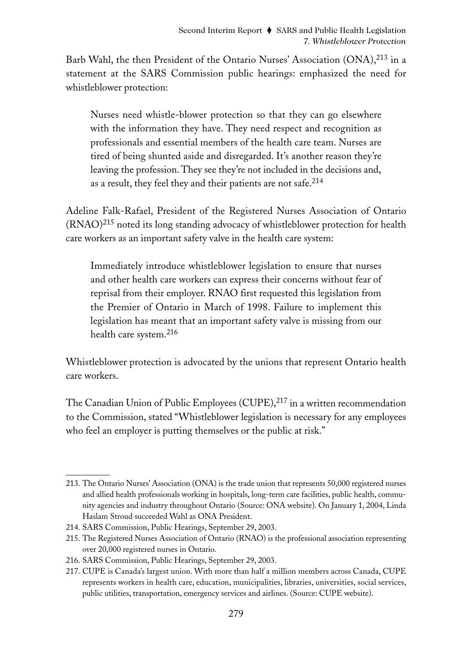Barb Wahl, the then President of the Ontario Nurses' Association (ONA),<sup>213</sup> in a statement at the SARS Commission public hearings: emphasized the need for whistleblower protection:

Nurses need whistle-blower protection so that they can go elsewhere with the information they have. They need respect and recognition as professionals and essential members of the health care team. Nurses are tired of being shunted aside and disregarded. It's another reason they're leaving the profession. They see they're not included in the decisions and, as a result, they feel they and their patients are not safe.<sup>214</sup>

Adeline Falk-Rafael, President of the Registered Nurses Association of Ontario (RNAO)<sup>215</sup> noted its long standing advocacy of whistleblower protection for health care workers as an important safety valve in the health care system:

Immediately introduce whistleblower legislation to ensure that nurses and other health care workers can express their concerns without fear of reprisal from their employer. RNAO first requested this legislation from the Premier of Ontario in March of 1998. Failure to implement this legislation has meant that an important safety valve is missing from our health care system.216

Whistleblower protection is advocated by the unions that represent Ontario health care workers.

The Canadian Union of Public Employees (CUPE), $^{217}$  in a written recommendation to the Commission, stated "Whistleblower legislation is necessary for any employees who feel an employer is putting themselves or the public at risk."

<sup>213.</sup> The Ontario Nurses' Association (ONA) is the trade union that represents 50,000 registered nurses and allied health professionals working in hospitals, long-term care facilities, public health, community agencies and industry throughout Ontario (Source: ONA website). On January 1, 2004, Linda Haslam Stroud succeeded Wahl as ONA President.

<sup>214.</sup> SARS Commission, Public Hearings, September 29, 2003.

<sup>215.</sup> The Registered Nurses Association of Ontario (RNAO) is the professional association representing over 20,000 registered nurses in Ontario.

<sup>216.</sup> SARS Commission, Public Hearings, September 29, 2003.

<sup>217.</sup> CUPE is Canada's largest union. With more than half a million members across Canada, CUPE represents workers in health care, education, municipalities, libraries, universities, social services, public utilities, transportation, emergency services and airlines. (Source: CUPE website).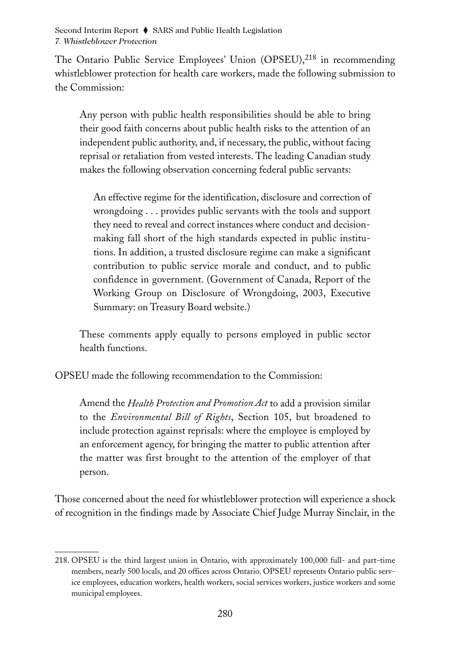The Ontario Public Service Employees' Union (OPSEU),<sup>218</sup> in recommending whistleblower protection for health care workers, made the following submission to the Commission:

Any person with public health responsibilities should be able to bring their good faith concerns about public health risks to the attention of an independent public authority, and, if necessary, the public, without facing reprisal or retaliation from vested interests. The leading Canadian study makes the following observation concerning federal public servants:

An effective regime for the identification, disclosure and correction of wrongdoing . . . provides public servants with the tools and support they need to reveal and correct instances where conduct and decisionmaking fall short of the high standards expected in public institutions. In addition, a trusted disclosure regime can make a significant contribution to public service morale and conduct, and to public confidence in government. (Government of Canada, Report of the Working Group on Disclosure of Wrongdoing, 2003, Executive Summary: on Treasury Board website.)

These comments apply equally to persons employed in public sector health functions.

OPSEU made the following recommendation to the Commission:

Amend the *Health Protection and Promotion Act* to add a provision similar to the *Environmental Bill of Rights*, Section 105, but broadened to include protection against reprisals: where the employee is employed by an enforcement agency, for bringing the matter to public attention after the matter was first brought to the attention of the employer of that person.

Those concerned about the need for whistleblower protection will experience a shock of recognition in the findings made by Associate Chief Judge Murray Sinclair, in the

<sup>218.</sup> OPSEU is the third largest union in Ontario, with approximately 100,000 full- and part-time members, nearly 500 locals, and 20 offices across Ontario. OPSEU represents Ontario public service employees, education workers, health workers, social services workers, justice workers and some municipal employees.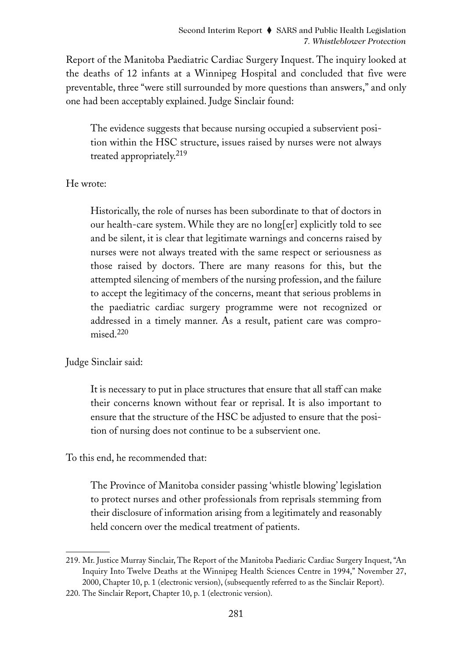Report of the Manitoba Paediatric Cardiac Surgery Inquest. The inquiry looked at the deaths of 12 infants at a Winnipeg Hospital and concluded that five were preventable, three "were still surrounded by more questions than answers," and only one had been acceptably explained. Judge Sinclair found:

The evidence suggests that because nursing occupied a subservient position within the HSC structure, issues raised by nurses were not always treated appropriately.<sup>219</sup>

He wrote:

Historically, the role of nurses has been subordinate to that of doctors in our health-care system. While they are no long[er] explicitly told to see and be silent, it is clear that legitimate warnings and concerns raised by nurses were not always treated with the same respect or seriousness as those raised by doctors. There are many reasons for this, but the attempted silencing of members of the nursing profession, and the failure to accept the legitimacy of the concerns, meant that serious problems in the paediatric cardiac surgery programme were not recognized or addressed in a timely manner. As a result, patient care was compromised.<sup>220</sup>

Judge Sinclair said:

It is necessary to put in place structures that ensure that all staff can make their concerns known without fear or reprisal. It is also important to ensure that the structure of the HSC be adjusted to ensure that the position of nursing does not continue to be a subservient one.

To this end, he recommended that:

The Province of Manitoba consider passing 'whistle blowing' legislation to protect nurses and other professionals from reprisals stemming from their disclosure of information arising from a legitimately and reasonably held concern over the medical treatment of patients.

<sup>219.</sup> Mr. Justice Murray Sinclair, The Report of the Manitoba Paediaric Cardiac Surgery Inquest, "An Inquiry Into Twelve Deaths at the Winnipeg Health Sciences Centre in 1994," November 27, 2000, Chapter 10, p. 1 (electronic version), (subsequently referred to as the Sinclair Report).

<sup>220.</sup> The Sinclair Report, Chapter 10, p. 1 (electronic version).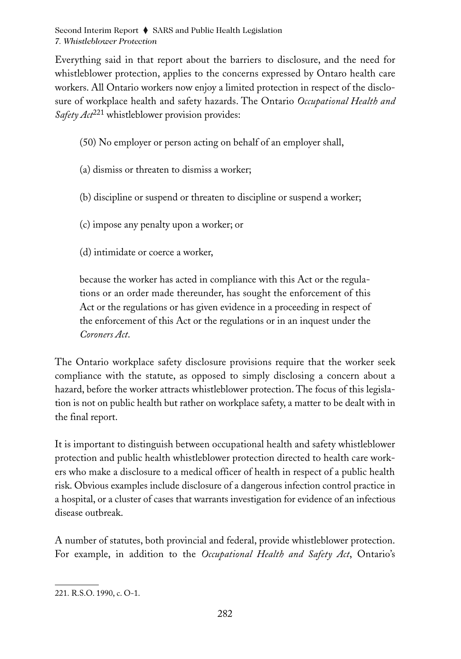Everything said in that report about the barriers to disclosure, and the need for whistleblower protection, applies to the concerns expressed by Ontaro health care workers. All Ontario workers now enjoy a limited protection in respect of the disclosure of workplace health and safety hazards. The Ontario *Occupational Health and Safety Act*<sup>221</sup> whistleblower provision provides:

- (50) No employer or person acting on behalf of an employer shall,
- (a) dismiss or threaten to dismiss a worker;
- (b) discipline or suspend or threaten to discipline or suspend a worker;
- (c) impose any penalty upon a worker; or
- (d) intimidate or coerce a worker,

because the worker has acted in compliance with this Act or the regulations or an order made thereunder, has sought the enforcement of this Act or the regulations or has given evidence in a proceeding in respect of the enforcement of this Act or the regulations or in an inquest under the *Coroners Act*.

The Ontario workplace safety disclosure provisions require that the worker seek compliance with the statute, as opposed to simply disclosing a concern about a hazard, before the worker attracts whistleblower protection. The focus of this legislation is not on public health but rather on workplace safety, a matter to be dealt with in the final report.

It is important to distinguish between occupational health and safety whistleblower protection and public health whistleblower protection directed to health care workers who make a disclosure to a medical officer of health in respect of a public health risk. Obvious examples include disclosure of a dangerous infection control practice in a hospital, or a cluster of cases that warrants investigation for evidence of an infectious disease outbreak.

A number of statutes, both provincial and federal, provide whistleblower protection. For example, in addition to the *Occupational Health and Safety Act*, Ontario's

<sup>221.</sup> R.S.O. 1990, c. O-1.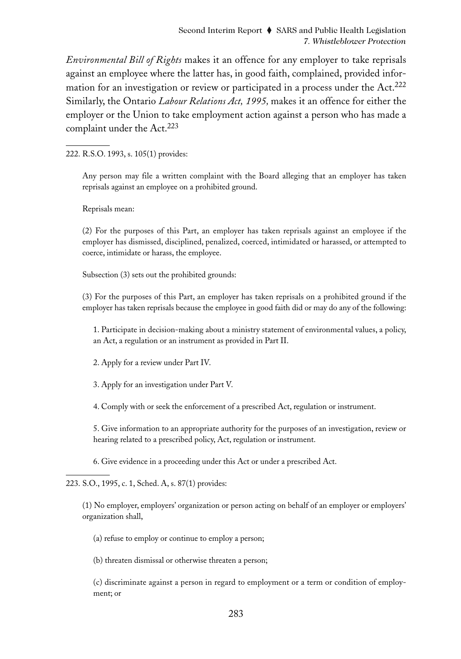*Environmental Bill of Rights* makes it an offence for any employer to take reprisals against an employee where the latter has, in good faith, complained, provided information for an investigation or review or participated in a process under the Act. $^{222}$ Similarly, the Ontario *Labour Relations Act, 1995,* makes it an offence for either the employer or the Union to take employment action against a person who has made a complaint under the Act.<sup>223</sup>

222. R.S.O. 1993, s. 105(1) provides:

Any person may file a written complaint with the Board alleging that an employer has taken reprisals against an employee on a prohibited ground.

Reprisals mean:

(2) For the purposes of this Part, an employer has taken reprisals against an employee if the employer has dismissed, disciplined, penalized, coerced, intimidated or harassed, or attempted to coerce, intimidate or harass, the employee.

Subsection (3) sets out the prohibited grounds:

(3) For the purposes of this Part, an employer has taken reprisals on a prohibited ground if the employer has taken reprisals because the employee in good faith did or may do any of the following:

1. Participate in decision-making about a ministry statement of environmental values, a policy, an Act, a regulation or an instrument as provided in Part II.

2. Apply for a review under Part IV.

3. Apply for an investigation under Part V.

4. Comply with or seek the enforcement of a prescribed Act, regulation or instrument.

5. Give information to an appropriate authority for the purposes of an investigation, review or hearing related to a prescribed policy, Act, regulation or instrument.

6. Give evidence in a proceeding under this Act or under a prescribed Act.

223. S.O., 1995, c. 1, Sched. A, s. 87(1) provides:

(1) No employer, employers' organization or person acting on behalf of an employer or employers' organization shall,

(a) refuse to employ or continue to employ a person;

(b) threaten dismissal or otherwise threaten a person;

(c) discriminate against a person in regard to employment or a term or condition of employment; or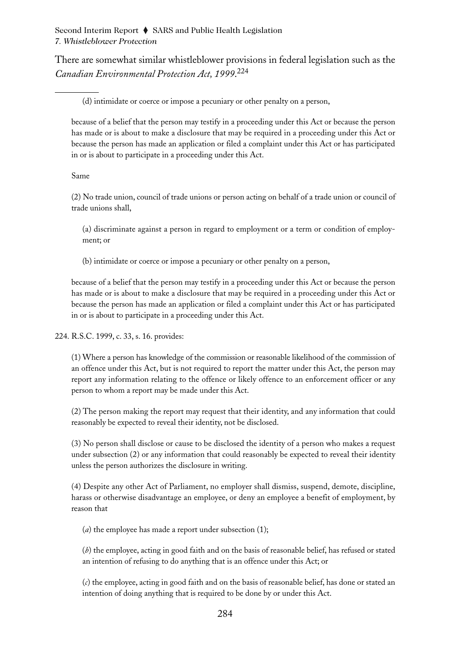There are somewhat similar whistleblower provisions in federal legislation such as the *Canadian Environmental Protection Act, 1999*. 224

(d) intimidate or coerce or impose a pecuniary or other penalty on a person,

because of a belief that the person may testify in a proceeding under this Act or because the person has made or is about to make a disclosure that may be required in a proceeding under this Act or because the person has made an application or filed a complaint under this Act or has participated in or is about to participate in a proceeding under this Act.

Same

(2) No trade union, council of trade unions or person acting on behalf of a trade union or council of trade unions shall,

(a) discriminate against a person in regard to employment or a term or condition of employment; or

(b) intimidate or coerce or impose a pecuniary or other penalty on a person,

because of a belief that the person may testify in a proceeding under this Act or because the person has made or is about to make a disclosure that may be required in a proceeding under this Act or because the person has made an application or filed a complaint under this Act or has participated in or is about to participate in a proceeding under this Act.

224. R.S.C. 1999, c. 33, s. 16. provides:

(1) Where a person has knowledge of the commission or reasonable likelihood of the commission of an offence under this Act, but is not required to report the matter under this Act, the person may report any information relating to the offence or likely offence to an enforcement officer or any person to whom a report may be made under this Act.

(2) The person making the report may request that their identity, and any information that could reasonably be expected to reveal their identity, not be disclosed.

(3) No person shall disclose or cause to be disclosed the identity of a person who makes a request under subsection (2) or any information that could reasonably be expected to reveal their identity unless the person authorizes the disclosure in writing.

(4) Despite any other Act of Parliament, no employer shall dismiss, suspend, demote, discipline, harass or otherwise disadvantage an employee, or deny an employee a benefit of employment, by reason that

(*a*) the employee has made a report under subsection (1);

(*b*) the employee, acting in good faith and on the basis of reasonable belief, has refused or stated an intention of refusing to do anything that is an offence under this Act; or

(*c*) the employee, acting in good faith and on the basis of reasonable belief, has done or stated an intention of doing anything that is required to be done by or under this Act.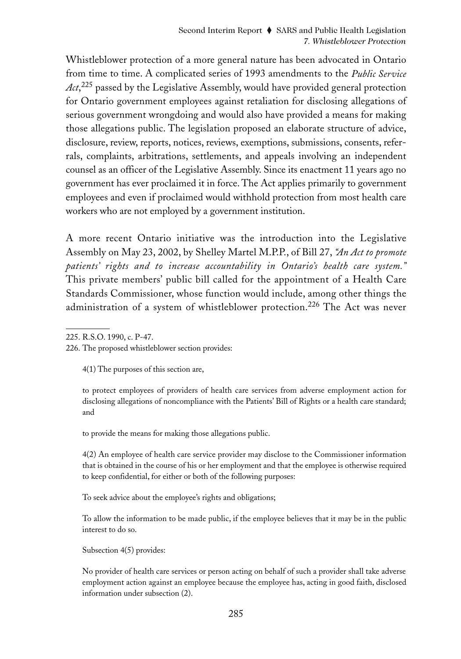Whistleblower protection of a more general nature has been advocated in Ontario from time to time. A complicated series of 1993 amendments to the *Public Service Act*, <sup>225</sup> passed by the Legislative Assembly, would have provided general protection for Ontario government employees against retaliation for disclosing allegations of serious government wrongdoing and would also have provided a means for making those allegations public. The legislation proposed an elaborate structure of advice, disclosure, review, reports, notices, reviews, exemptions, submissions, consents, referrals, complaints, arbitrations, settlements, and appeals involving an independent counsel as an officer of the Legislative Assembly. Since its enactment 11 years ago no government has ever proclaimed it in force. The Act applies primarily to government employees and even if proclaimed would withhold protection from most health care workers who are not employed by a government institution.

A more recent Ontario initiative was the introduction into the Legislative Assembly on May 23, 2002, by Shelley Martel M.P.P., of Bill 27, *"An Act to promote patients' rights and to increase accountability in Ontario's health care system."* This private members' public bill called for the appointment of a Health Care Standards Commissioner, whose function would include, among other things the administration of a system of whistleblower protection.<sup>226</sup> The Act was never

4(1) The purposes of this section are,

to protect employees of providers of health care services from adverse employment action for disclosing allegations of noncompliance with the Patients' Bill of Rights or a health care standard; and

to provide the means for making those allegations public.

4(2) An employee of health care service provider may disclose to the Commissioner information that is obtained in the course of his or her employment and that the employee is otherwise required to keep confidential, for either or both of the following purposes:

To seek advice about the employee's rights and obligations;

To allow the information to be made public, if the employee believes that it may be in the public interest to do so.

Subsection 4(5) provides:

No provider of health care services or person acting on behalf of such a provider shall take adverse employment action against an employee because the employee has, acting in good faith, disclosed information under subsection (2).

<sup>225.</sup> R.S.O. 1990, c. P-47.

<sup>226.</sup> The proposed whistleblower section provides: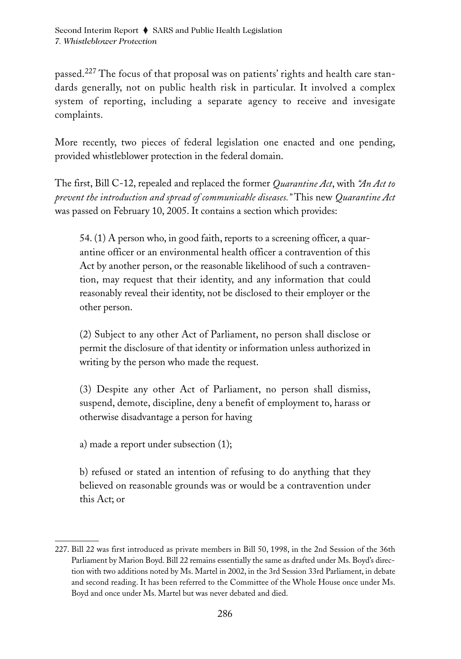passed.<sup>227</sup> The focus of that proposal was on patients' rights and health care standards generally, not on public health risk in particular. It involved a complex system of reporting, including a separate agency to receive and invesigate complaints.

More recently, two pieces of federal legislation one enacted and one pending, provided whistleblower protection in the federal domain.

The first, Bill C-12, repealed and replaced the former *Quarantine Act*, with *"An Act to prevent the introduction and spread of communicable diseases."* This new *Quarantine Act* was passed on February 10, 2005. It contains a section which provides:

54. (1) A person who, in good faith, reports to a screening officer, a quarantine officer or an environmental health officer a contravention of this Act by another person, or the reasonable likelihood of such a contravention, may request that their identity, and any information that could reasonably reveal their identity, not be disclosed to their employer or the other person.

(2) Subject to any other Act of Parliament, no person shall disclose or permit the disclosure of that identity or information unless authorized in writing by the person who made the request.

(3) Despite any other Act of Parliament, no person shall dismiss, suspend, demote, discipline, deny a benefit of employment to, harass or otherwise disadvantage a person for having

a) made a report under subsection (1);

b) refused or stated an intention of refusing to do anything that they believed on reasonable grounds was or would be a contravention under this Act; or

<sup>227.</sup> Bill 22 was first introduced as private members in Bill 50, 1998, in the 2nd Session of the 36th Parliament by Marion Boyd. Bill 22 remains essentially the same as drafted under Ms. Boyd's direction with two additions noted by Ms. Martel in 2002, in the 3rd Session 33rd Parliament, in debate and second reading. It has been referred to the Committee of the Whole House once under Ms. Boyd and once under Ms. Martel but was never debated and died.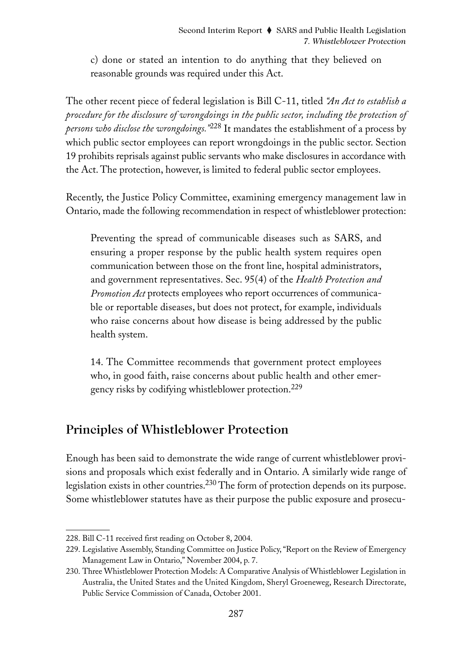c) done or stated an intention to do anything that they believed on reasonable grounds was required under this Act.

The other recent piece of federal legislation is Bill C-11, titled *"An Act to establish a procedure for the disclosure of wrongdoings in the public sector, including the protection of persons who disclose the wrongdoings."*<sup>228</sup> It mandates the establishment of a process by which public sector employees can report wrongdoings in the public sector. Section 19 prohibits reprisals against public servants who make disclosures in accordance with the Act. The protection, however, is limited to federal public sector employees.

Recently, the Justice Policy Committee, examining emergency management law in Ontario, made the following recommendation in respect of whistleblower protection:

Preventing the spread of communicable diseases such as SARS, and ensuring a proper response by the public health system requires open communication between those on the front line, hospital administrators, and government representatives. Sec. 95(4) of the *Health Protection and Promotion Act* protects employees who report occurrences of communicable or reportable diseases, but does not protect, for example, individuals who raise concerns about how disease is being addressed by the public health system.

14. The Committee recommends that government protect employees who, in good faith, raise concerns about public health and other emergency risks by codifying whistleblower protection.229

## Principles of Whistleblower Protection

Enough has been said to demonstrate the wide range of current whistleblower provisions and proposals which exist federally and in Ontario. A similarly wide range of legislation exists in other countries.<sup>230</sup> The form of protection depends on its purpose. Some whistleblower statutes have as their purpose the public exposure and prosecu-

<sup>228.</sup> Bill C-11 received first reading on October 8, 2004.

<sup>229.</sup> Legislative Assembly, Standing Committee on Justice Policy, "Report on the Review of Emergency Management Law in Ontario," November 2004, p. 7.

<sup>230.</sup> Three Whistleblower Protection Models: A Comparative Analysis of Whistleblower Legislation in Australia, the United States and the United Kingdom, Sheryl Groeneweg, Research Directorate, Public Service Commission of Canada, October 2001.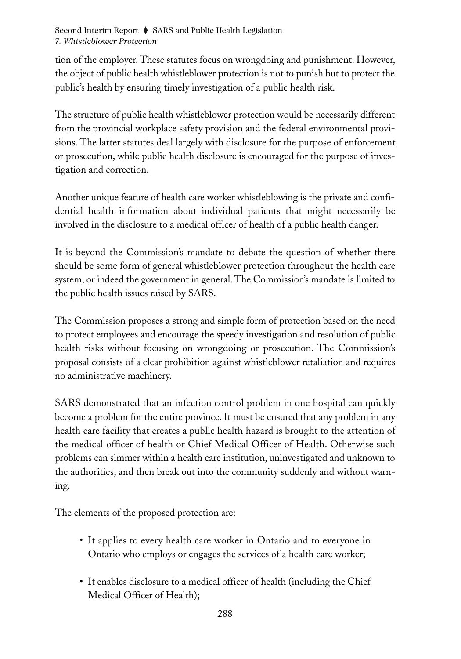tion of the employer. These statutes focus on wrongdoing and punishment. However, the object of public health whistleblower protection is not to punish but to protect the public's health by ensuring timely investigation of a public health risk.

The structure of public health whistleblower protection would be necessarily different from the provincial workplace safety provision and the federal environmental provisions. The latter statutes deal largely with disclosure for the purpose of enforcement or prosecution, while public health disclosure is encouraged for the purpose of investigation and correction.

Another unique feature of health care worker whistleblowing is the private and confidential health information about individual patients that might necessarily be involved in the disclosure to a medical officer of health of a public health danger.

It is beyond the Commission's mandate to debate the question of whether there should be some form of general whistleblower protection throughout the health care system, or indeed the government in general. The Commission's mandate is limited to the public health issues raised by SARS.

The Commission proposes a strong and simple form of protection based on the need to protect employees and encourage the speedy investigation and resolution of public health risks without focusing on wrongdoing or prosecution. The Commission's proposal consists of a clear prohibition against whistleblower retaliation and requires no administrative machinery.

SARS demonstrated that an infection control problem in one hospital can quickly become a problem for the entire province. It must be ensured that any problem in any health care facility that creates a public health hazard is brought to the attention of the medical officer of health or Chief Medical Officer of Health. Otherwise such problems can simmer within a health care institution, uninvestigated and unknown to the authorities, and then break out into the community suddenly and without warning.

The elements of the proposed protection are:

- It applies to every health care worker in Ontario and to everyone in Ontario who employs or engages the services of a health care worker;
- It enables disclosure to a medical officer of health (including the Chief Medical Officer of Health);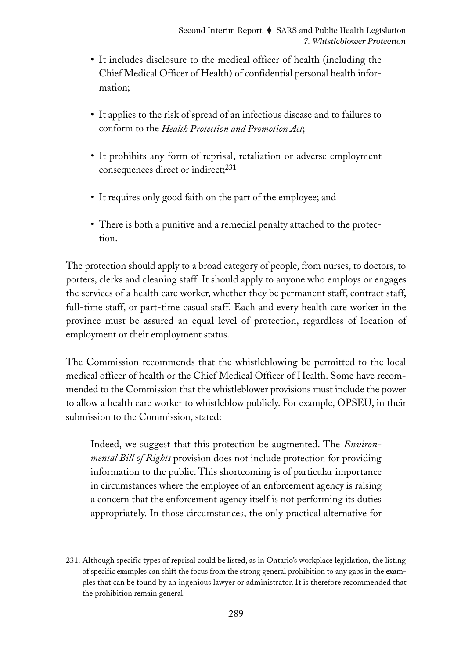- It includes disclosure to the medical officer of health (including the Chief Medical Officer of Health) of confidential personal health information;
- It applies to the risk of spread of an infectious disease and to failures to conform to the *Health Protection and Promotion Act*;
- It prohibits any form of reprisal, retaliation or adverse employment consequences direct or indirect;<sup>231</sup>
- It requires only good faith on the part of the employee; and
- There is both a punitive and a remedial penalty attached to the protection.

The protection should apply to a broad category of people, from nurses, to doctors, to porters, clerks and cleaning staff. It should apply to anyone who employs or engages the services of a health care worker, whether they be permanent staff, contract staff, full-time staff, or part-time casual staff. Each and every health care worker in the province must be assured an equal level of protection, regardless of location of employment or their employment status.

The Commission recommends that the whistleblowing be permitted to the local medical officer of health or the Chief Medical Officer of Health. Some have recommended to the Commission that the whistleblower provisions must include the power to allow a health care worker to whistleblow publicly. For example, OPSEU, in their submission to the Commission, stated:

Indeed, we suggest that this protection be augmented. The *Environmental Bill of Rights* provision does not include protection for providing information to the public. This shortcoming is of particular importance in circumstances where the employee of an enforcement agency is raising a concern that the enforcement agency itself is not performing its duties appropriately. In those circumstances, the only practical alternative for

<sup>231.</sup> Although specific types of reprisal could be listed, as in Ontario's workplace legislation, the listing of specific examples can shift the focus from the strong general prohibition to any gaps in the examples that can be found by an ingenious lawyer or administrator. It is therefore recommended that the prohibition remain general.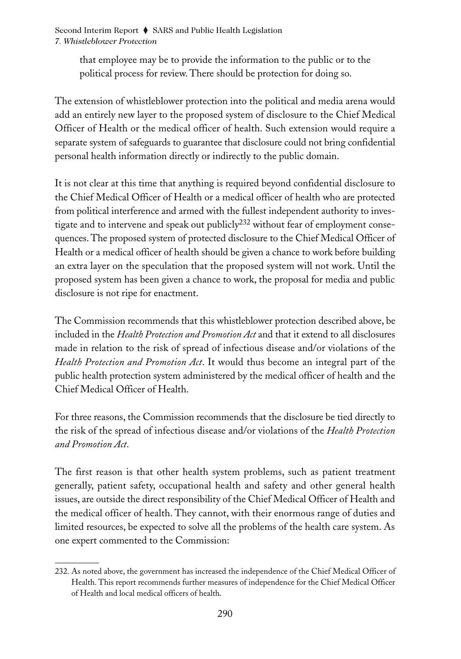> that employee may be to provide the information to the public or to the political process for review. There should be protection for doing so.

The extension of whistleblower protection into the political and media arena would add an entirely new layer to the proposed system of disclosure to the Chief Medical Officer of Health or the medical officer of health. Such extension would require a separate system of safeguards to guarantee that disclosure could not bring confidential personal health information directly or indirectly to the public domain.

It is not clear at this time that anything is required beyond confidential disclosure to the Chief Medical Officer of Health or a medical officer of health who are protected from political interference and armed with the fullest independent authority to investigate and to intervene and speak out publicly<sup>232</sup> without fear of employment consequences. The proposed system of protected disclosure to the Chief Medical Officer of Health or a medical officer of health should be given a chance to work before building an extra layer on the speculation that the proposed system will not work. Until the proposed system has been given a chance to work, the proposal for media and public disclosure is not ripe for enactment.

The Commission recommends that this whistleblower protection described above, be included in the *Health Protection and Promotion Act* and that it extend to all disclosures made in relation to the risk of spread of infectious disease and/or violations of the *Health Protection and Promotion Act*. It would thus become an integral part of the public health protection system administered by the medical officer of health and the Chief Medical Officer of Health.

For three reasons, the Commission recommends that the disclosure be tied directly to the risk of the spread of infectious disease and/or violations of the *Health Protection and Promotion Act*.

The first reason is that other health system problems, such as patient treatment generally, patient safety, occupational health and safety and other general health issues, are outside the direct responsibility of the Chief Medical Officer of Health and the medical officer of health. They cannot, with their enormous range of duties and limited resources, be expected to solve all the problems of the health care system. As one expert commented to the Commission:

<sup>232.</sup> As noted above, the government has increased the independence of the Chief Medical Officer of Health. This report recommends further measures of independence for the Chief Medical Officer of Health and local medical officers of health.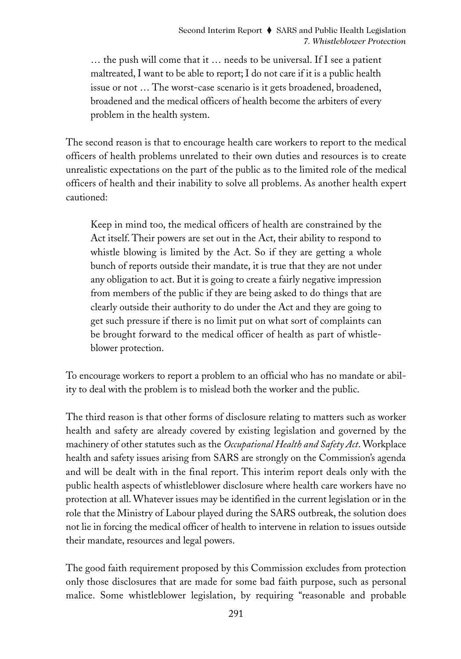… the push will come that it … needs to be universal. If I see a patient maltreated, I want to be able to report; I do not care if it is a public health issue or not … The worst-case scenario is it gets broadened, broadened, broadened and the medical officers of health become the arbiters of every problem in the health system.

The second reason is that to encourage health care workers to report to the medical officers of health problems unrelated to their own duties and resources is to create unrealistic expectations on the part of the public as to the limited role of the medical officers of health and their inability to solve all problems. As another health expert cautioned:

Keep in mind too, the medical officers of health are constrained by the Act itself. Their powers are set out in the Act, their ability to respond to whistle blowing is limited by the Act. So if they are getting a whole bunch of reports outside their mandate, it is true that they are not under any obligation to act. But it is going to create a fairly negative impression from members of the public if they are being asked to do things that are clearly outside their authority to do under the Act and they are going to get such pressure if there is no limit put on what sort of complaints can be brought forward to the medical officer of health as part of whistleblower protection.

To encourage workers to report a problem to an official who has no mandate or ability to deal with the problem is to mislead both the worker and the public.

The third reason is that other forms of disclosure relating to matters such as worker health and safety are already covered by existing legislation and governed by the machinery of other statutes such as the *Occupational Health and Safety Act*. Workplace health and safety issues arising from SARS are strongly on the Commission's agenda and will be dealt with in the final report. This interim report deals only with the public health aspects of whistleblower disclosure where health care workers have no protection at all. Whatever issues may be identified in the current legislation or in the role that the Ministry of Labour played during the SARS outbreak, the solution does not lie in forcing the medical officer of health to intervene in relation to issues outside their mandate, resources and legal powers.

The good faith requirement proposed by this Commission excludes from protection only those disclosures that are made for some bad faith purpose, such as personal malice. Some whistleblower legislation, by requiring "reasonable and probable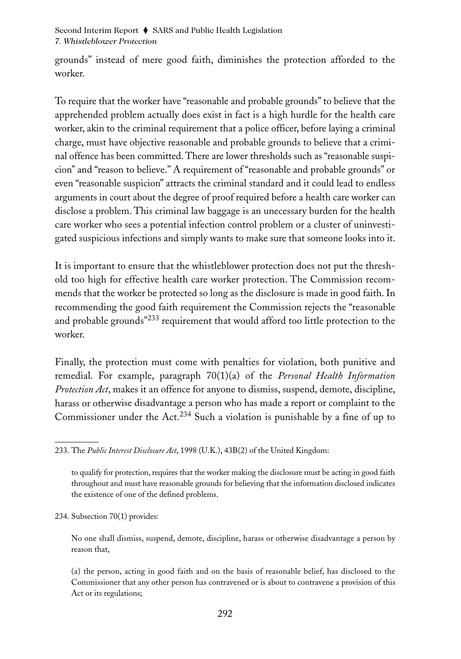grounds" instead of mere good faith, diminishes the protection afforded to the worker.

To require that the worker have "reasonable and probable grounds" to believe that the apprehended problem actually does exist in fact is a high hurdle for the health care worker, akin to the criminal requirement that a police officer, before laying a criminal charge, must have objective reasonable and probable grounds to believe that a criminal offence has been committed. There are lower thresholds such as "reasonable suspicion" and "reason to believe." A requirement of "reasonable and probable grounds" or even "reasonable suspicion" attracts the criminal standard and it could lead to endless arguments in court about the degree of proof required before a health care worker can disclose a problem. This criminal law baggage is an unecessary burden for the health care worker who sees a potential infection control problem or a cluster of uninvestigated suspicious infections and simply wants to make sure that someone looks into it.

It is important to ensure that the whistleblower protection does not put the threshold too high for effective health care worker protection. The Commission recommends that the worker be protected so long as the disclosure is made in good faith. In recommending the good faith requirement the Commission rejects the "reasonable and probable grounds"<sup>233</sup> requirement that would afford too little protection to the worker.

Finally, the protection must come with penalties for violation, both punitive and remedial. For example, paragraph 70(1)(a) of the *Personal Health Information Protection Act*, makes it an offence for anyone to dismiss, suspend, demote, discipline, harass or otherwise disadvantage a person who has made a report or complaint to the Commissioner under the Act.<sup>234</sup> Such a violation is punishable by a fine of up to

234. Subsection 70(1) provides:

No one shall dismiss, suspend, demote, discipline, harass or otherwise disadvantage a person by reason that,

(a) the person, acting in good faith and on the basis of reasonable belief, has disclosed to the Commissioner that any other person has contravened or is about to contravene a provision of this Act or its regulations;

<sup>233.</sup> The *Public Interest Disclosure Act*, 1998 (U.K.), 43B(2) of the United Kingdom:

to qualify for protection, requires that the worker making the disclosure must be acting in good faith throughout and must have reasonable grounds for believing that the information disclosed indicates the existence of one of the defined problems.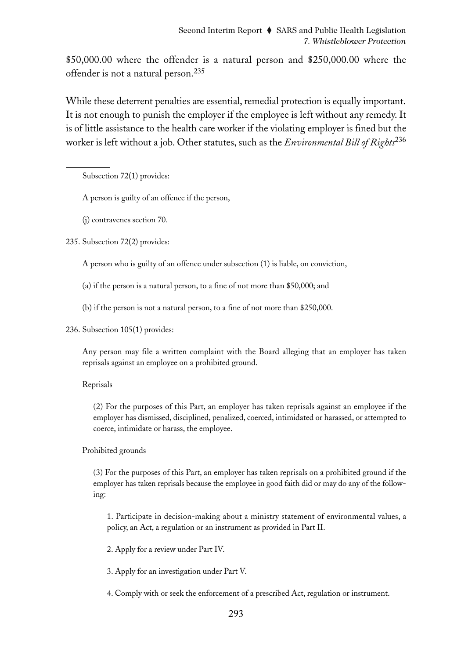\$50,000.00 where the offender is a natural person and \$250,000.00 where the offender is not a natural person.<sup>235</sup>

While these deterrent penalties are essential, remedial protection is equally important. It is not enough to punish the employer if the employee is left without any remedy. It is of little assistance to the health care worker if the violating employer is fined but the worker is left without a job. Other statutes, such as the *Environmental Bill of Rights*<sup>236</sup>

Subsection 72(1) provides:

A person is guilty of an offence if the person,

(j) contravenes section 70.

235. Subsection 72(2) provides:

A person who is guilty of an offence under subsection (1) is liable, on conviction,

- (a) if the person is a natural person, to a fine of not more than \$50,000; and
- (b) if the person is not a natural person, to a fine of not more than \$250,000.
- 236. Subsection 105(1) provides:

Any person may file a written complaint with the Board alleging that an employer has taken reprisals against an employee on a prohibited ground.

### Reprisals

(2) For the purposes of this Part, an employer has taken reprisals against an employee if the employer has dismissed, disciplined, penalized, coerced, intimidated or harassed, or attempted to coerce, intimidate or harass, the employee.

### Prohibited grounds

(3) For the purposes of this Part, an employer has taken reprisals on a prohibited ground if the employer has taken reprisals because the employee in good faith did or may do any of the following:

1. Participate in decision-making about a ministry statement of environmental values, a policy, an Act, a regulation or an instrument as provided in Part II.

2. Apply for a review under Part IV.

3. Apply for an investigation under Part V.

4. Comply with or seek the enforcement of a prescribed Act, regulation or instrument.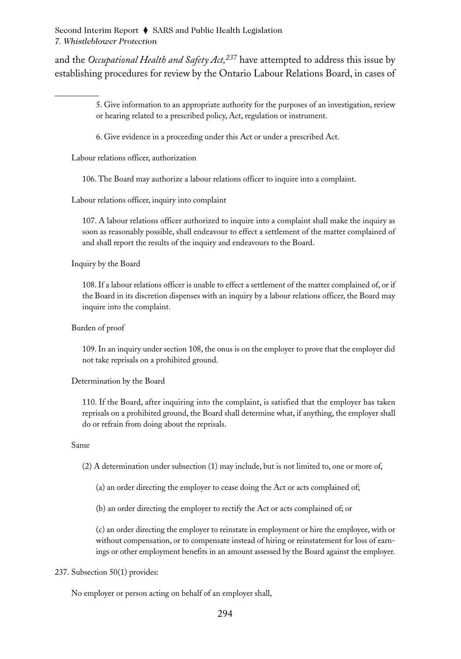and the *Occupational Health and Safety Act*,<sup>237</sup> have attempted to address this issue by establishing procedures for review by the Ontario Labour Relations Board, in cases of

> 5. Give information to an appropriate authority for the purposes of an investigation, review or hearing related to a prescribed policy, Act, regulation or instrument.

6. Give evidence in a proceeding under this Act or under a prescribed Act.

Labour relations officer, authorization

106. The Board may authorize a labour relations officer to inquire into a complaint.

Labour relations officer, inquiry into complaint

107. A labour relations officer authorized to inquire into a complaint shall make the inquiry as soon as reasonably possible, shall endeavour to effect a settlement of the matter complained of and shall report the results of the inquiry and endeavours to the Board.

Inquiry by the Board

108. If a labour relations officer is unable to effect a settlement of the matter complained of, or if the Board in its discretion dispenses with an inquiry by a labour relations officer, the Board may inquire into the complaint.

Burden of proof

109. In an inquiry under section 108, the onus is on the employer to prove that the employer did not take reprisals on a prohibited ground.

Determination by the Board

110. If the Board, after inquiring into the complaint, is satisfied that the employer has taken reprisals on a prohibited ground, the Board shall determine what, if anything, the employer shall do or refrain from doing about the reprisals.

Same

(2) A determination under subsection (1) may include, but is not limited to, one or more of,

(a) an order directing the employer to cease doing the Act or acts complained of;

(b) an order directing the employer to rectify the Act or acts complained of; or

(c) an order directing the employer to reinstate in employment or hire the employee, with or without compensation, or to compensate instead of hiring or reinstatement for loss of earnings or other employment benefits in an amount assessed by the Board against the employer.

#### 237. Subsection 50(1) provides:

No employer or person acting on behalf of an employer shall,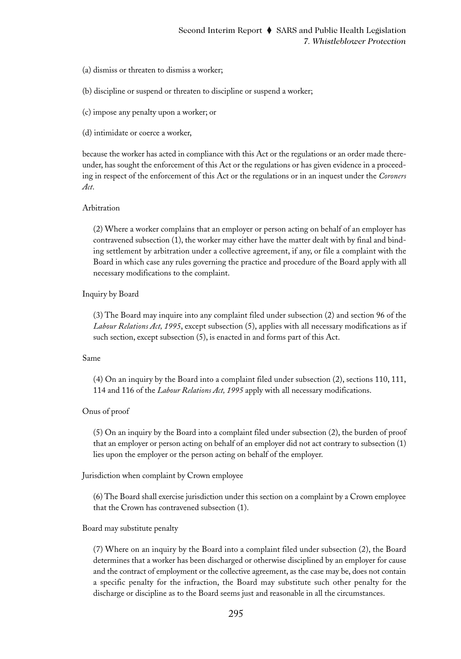- (a) dismiss or threaten to dismiss a worker;
- (b) discipline or suspend or threaten to discipline or suspend a worker;
- (c) impose any penalty upon a worker; or
- (d) intimidate or coerce a worker,

because the worker has acted in compliance with this Act or the regulations or an order made thereunder, has sought the enforcement of this Act or the regulations or has given evidence in a proceeding in respect of the enforcement of this Act or the regulations or in an inquest under the *Coroners Act*.

#### Arbitration

(2) Where a worker complains that an employer or person acting on behalf of an employer has contravened subsection (1), the worker may either have the matter dealt with by final and binding settlement by arbitration under a collective agreement, if any, or file a complaint with the Board in which case any rules governing the practice and procedure of the Board apply with all necessary modifications to the complaint.

Inquiry by Board

(3) The Board may inquire into any complaint filed under subsection (2) and section 96 of the *Labour Relations Act, 1995*, except subsection (5), applies with all necessary modifications as if such section, except subsection (5), is enacted in and forms part of this Act.

#### Same

(4) On an inquiry by the Board into a complaint filed under subsection (2), sections 110, 111, 114 and 116 of the *Labour Relations Act, 1995* apply with all necessary modifications.

#### Onus of proof

(5) On an inquiry by the Board into a complaint filed under subsection (2), the burden of proof that an employer or person acting on behalf of an employer did not act contrary to subsection (1) lies upon the employer or the person acting on behalf of the employer.

Jurisdiction when complaint by Crown employee

(6) The Board shall exercise jurisdiction under this section on a complaint by a Crown employee that the Crown has contravened subsection (1).

#### Board may substitute penalty

(7) Where on an inquiry by the Board into a complaint filed under subsection (2), the Board determines that a worker has been discharged or otherwise disciplined by an employer for cause and the contract of employment or the collective agreement, as the case may be, does not contain a specific penalty for the infraction, the Board may substitute such other penalty for the discharge or discipline as to the Board seems just and reasonable in all the circumstances.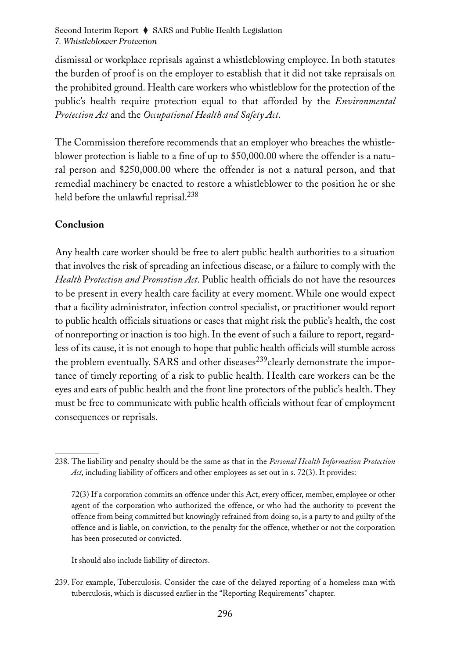dismissal or workplace reprisals against a whistleblowing employee. In both statutes the burden of proof is on the employer to establish that it did not take repraisals on the prohibited ground. Health care workers who whistleblow for the protection of the public's health require protection equal to that afforded by the *Environmental Protection Act* and the *Occupational Health and Safety Act*.

The Commission therefore recommends that an employer who breaches the whistleblower protection is liable to a fine of up to \$50,000.00 where the offender is a natural person and \$250,000.00 where the offender is not a natural person, and that remedial machinery be enacted to restore a whistleblower to the position he or she held before the unlawful reprisal.<sup>238</sup>

### **Conclusion**

Any health care worker should be free to alert public health authorities to a situation that involves the risk of spreading an infectious disease, or a failure to comply with the *Health Protection and Promotion Act*. Public health officials do not have the resources to be present in every health care facility at every moment. While one would expect that a facility administrator, infection control specialist, or practitioner would report to public health officials situations or cases that might risk the public's health, the cost of nonreporting or inaction is too high. In the event of such a failure to report, regardless of its cause, it is not enough to hope that public health officials will stumble across the problem eventually. SARS and other diseases<sup>239</sup>clearly demonstrate the importance of timely reporting of a risk to public health. Health care workers can be the eyes and ears of public health and the front line protectors of the public's health. They must be free to communicate with public health officials without fear of employment consequences or reprisals.

It should also include liability of directors.

239. For example, Tuberculosis. Consider the case of the delayed reporting of a homeless man with tuberculosis, which is discussed earlier in the "Reporting Requirements" chapter.

<sup>238.</sup> The liability and penalty should be the same as that in the *Personal Health Information Protection Act*, including liability of officers and other employees as set out in s. 72(3). It provides:

<sup>72(3)</sup> If a corporation commits an offence under this Act, every officer, member, employee or other agent of the corporation who authorized the offence, or who had the authority to prevent the offence from being committed but knowingly refrained from doing so, is a party to and guilty of the offence and is liable, on conviction, to the penalty for the offence, whether or not the corporation has been prosecuted or convicted.